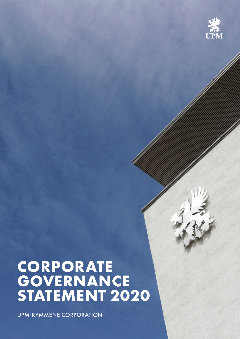

# **CORPORATE GOVERNANCE STATEMENT 2020**

UPM-KYMMENE CORPORATION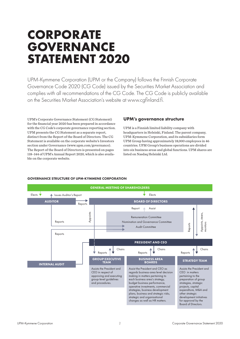## **CORPORATE GOVERNANCE STATEMENT 2020**

UPM-Kymmene Corporation (UPM or the Company) follows the Finnish Corporate Governance Code 2020 (CG Code) issued by the Securities Market Association and complies with all recommendations of the CG Code. The CG Code is publicly available on the Securities Market Association's website at www.cgfinland.fi.

UPM's Corporate Governance Statement (CG Statement) for the financial year 2020 has been prepared in accordance with the CG Code's corporate governance reporting section. UPM presents the CG Statement as a separate report, distinct from the Report of the Board of Directors. The CG Statement is available on the corporate website's Investors section under Governance (www.upm.com/governance). The Report of the Board of Directors is presented on pages 118–144 of UPM's Annual Report 2020, which is also available on the corporate website.

## UPM's governance structure

UPM is a Finnish limited liability company with headquarters in Helsinki, Finland. The parent company, UPM-Kymmene Corporation, and its subsidiaries form UPM Group having approximately 18,000 employees in 46 countries. UPM Group's business operations are divided into six business areas and global functions. UPM shares are listed on Nasdaq Helsinki Ltd.



## GOVERNANCE STRUCTURE OF UPM-KYMMENE CORPORATION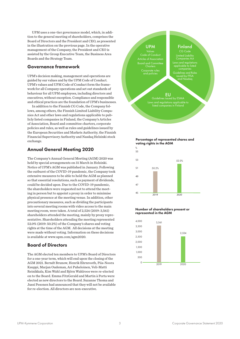UPM uses a one-tier governance model, which, in addition to the general meeting of shareholders, comprises the Board of Directors and the President and CEO, as presented in the illustration on the previous page. In the operative management of the Company, the President and CEO is assisted by the Group Executive Team, the Business Area Boards and the Strategy Team.

## Governance framework

UPM's decision making, management and operations are guided by our values and by the UPM Code of Conduct. UPM's values and UPM Code of Conduct form the framework for all Company operations and set out standards of behaviour for all UPM employees, including directors and executives, without exception. Compliance and responsible and ethical practices are the foundation of UPM's businesses.

In addition to the Finnish CG Code, the Company follows, among others, the Finnish Limited Liability Companies Act and other laws and regulations applicable to publicly listed companies in Finland, the Company's Articles of Association, Board and committee charters, corporate policies and rules, as well as rules and guidelines issued by the European Securities and Markets Authority, the Finnish Financial Supervisory Authority and Nasdaq Helsinki stock exchange.

## Annual General Meeting 2020

The Company's Annual General Meeting (AGM) 2020 was held by special arrangements on 31 March in Helsinki. Notice of UPM's AGM was published in January. Following the outburst of the COVID-19 pandemic, the Company took extensive measures to be able to hold the AGM as planned so that essential resolutions, such as payment of dividends, could be decided upon. Due to the COVID-19 pandemic, the shareholders were requested not to attend the meeting in person but to appoint a proxy in order to minimise physical presence at the meeting venue. In addition, other precautionary measures, such as dividing the participants into several meeting rooms with video access to the main meeting room, were taken. A total of 2,524 (2019: 3,561) shareholders attended the meeting, mainly by proxy representative. Shareholders attending the meeting represented 52.0% (2019: 50.2%) of the Company's shares and voting rights at the time of the AGM. All decisions at the meeting were made without voting. Information on these decisions is available at www.upm.com/agm2020.

## Board of Directors

The AGM elected ten members to UPM's Board of Directors for a one-year term, which will end upon the closing of the AGM 2021. Berndt Brunow, Henrik Ehrnrooth, Piia-Noora Kauppi, Marjan Oudeman, Ari Puheloinen, Veli-Matti Reinikkala, Kim Wahl and Björn Wahlroos were re-elected on to the Board. Emma FitzGerald and Martin à Porta were elected as new directors to the Board. Suzanne Thoma and Jussi Pesonen had announced that they will not be available for re-election. All directors are non-executive.



## Percentage of represented shares and voting rights in the AGM



## Number of shareholders present or represented in the AGM

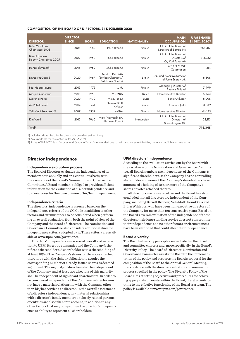## COMPOSITION OF THE BOARD OF DIRECTORS, 31 DECEMBER 2020

| <b>DIRECTOR</b>                           | <b>DIRECTOR</b><br><b>SINCE</b> | <b>BORN</b> | <b>EDUCATION</b>                                                | <b>NATIONALITY</b> | <b>MAIN</b><br><b>OCCUPATION</b>                          | <b>UPM SHARES</b><br>31 DEC. 2020 <sup>1)</sup> |
|-------------------------------------------|---------------------------------|-------------|-----------------------------------------------------------------|--------------------|-----------------------------------------------------------|-------------------------------------------------|
| Björn Wahlroos,<br>Chair since 2008       | 2008                            | 1952        | Ph.D. (Econ.)                                                   | Finnish            | Chair of the Board of<br>Directors of Sampo Plc           | 268,317                                         |
| Berndt Brunow,<br>Deputy Chair since 2005 | 2002                            | 1950        | B.Sc. (Econ.)                                                   | Finnish            | Chair of the Board of<br>Directors of<br>Oy Karl Fazer Ab | 314,752                                         |
| Henrik Ehrnrooth                          | 2015                            | 1969        | M.Sc. (Econ.)                                                   | Finnish            | CEO of KONE<br>Corporation                                | 11,314                                          |
| Emma FitzGerald                           | 2020                            | 1967        | MBA, D.Phil., MA<br>(Surface Chemistry/<br>Solid-state Physics) | <b>British</b>     | CEO and Executive Director<br>of Puma Energy Ltd.         | 6,808                                           |
| Piia-Noora Kauppi                         | 2013                            | 1975        | LL.M.                                                           | Finnish            | Managing Director of<br>Finance Finland                   | 21,199                                          |
| Marjan Oudeman                            | 2018                            | 1958        | LL.M., MBA                                                      | Dutch              | Non-executive Director                                    | 5,363                                           |
| Martin à Porta                            | 2020                            | 1970        | M.Sc. (Eng.)                                                    | Swiss              | Senior Advisor                                            | 6,008                                           |
| Ari Puheloinen <sup>2)</sup>              | 2014                            | 1951        | General Staff<br>Officer                                        | Finnish            | General (ret.)                                            | 13,339                                          |
| Veli-Matti Reinikkala <sup>2)</sup>       | 2007                            | 1957        | eMBA                                                            | Finnish            | Non-executive Director                                    | 46,135                                          |
| Kim Wahl                                  | 2012                            | 1960        | MBA (Harvard), BA<br>(Business Econ.)                           | Norwegian          | Chair of the Board of<br>Directors of<br>Strømstangen AS. | 23,113                                          |
| Total <sup>3</sup>                        |                                 |             |                                                                 |                    |                                                           | 716,348                                         |

1) Including shares held by the directors' controlled entities, if any.

2) Not available for re-election at the AGM 2021.

3) At the AGM 2020 Jussi Pesonen and Suzanne Thoma's term ended due to their announcement that they were not available for re-election.

## Director independence

#### Independence evaluation process

The Board of Directors evaluates the independence of its members both annually and on a continuous basis, with the assistance of the Board's Nomination and Governance Committee. A Board member is obliged to provide sufficient information for the evaluation of his/her independence and to also express his/her own opinion of his/her independence.

## Independence criteria

The directors' independence is assessed based on the independence criteria of the CG Code in addition to other factors and circumstances to be considered when performing an overall evaluation, from both the point of view of the Company and the Board of Directors. The Nomination and Governance Committee also considers additional director independence criteria adopted by it. These criteria are available at www.upm.com/governance.

Directors' independence is assessed overall and in relation to UPM, its group companies and the Company's significant shareholders. A shareholder with a shareholding of at least 10% of the Company's shares, or the votes attached thereto, or with the right or obligation to acquire the corresponding number of already-issued shares, is deemed significant. The majority of directors shall be independent of the Company, and at least two directors of this majority shall be independent of significant shareholders. In order to be considered independent of the Company, a director must not have a material relationship with the Company other than his/her service as a director. In the overall assessment of a director's independence, any material relationships with a director's family members or closely related persons or entities are also taken into account, in addition to any other factors that may compromise the director's independence or ability to represent all shareholders.

## UPM directors' independence

According to the evaluation carried out by the Board with the assistance of the Nomination and Governance Committee, all Board members are independent of the Company's significant shareholders, as the Company has no controlling shareholder and none of the Company's shareholders have announced a holding of 10% or more of the Company's shares or votes attached thereto.

All directors are non-executive and the Board has also concluded that all directors are independent of the Company, including Berndt Brunow, Veli-Matti Reinikkala and Björn Wahlroos, who have been non-executive directors of the Company for more than ten consecutive years. Based on the Board's overall evaluation of the independence of these directors, their long-standing service does not compromise their independence and no other factors or circumstances have been identified that could affect their independence.

## Board diversity

The Board's diversity principles are included in the Board and committee charters and, more specifically, in the Board's Diversity Policy. The Board of Directors' Nomination and Governance Committee assists the Board in the implementation of the policy and prepares the Board's proposal for the composition of the Board to the Annual General Meeting, in accordance with the director evaluation and nomination process specified in the policy. The Diversity Policy of the Board aims at setting objectives and procedures for achieving appropriate diversity within the Board, thereby contributing to the effective functioning of the Board as a team. The policy is available at www.upm.com/governance.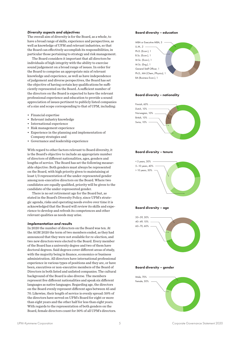## *Diversity aspects and objectives*

The overall aim of diversity is for the Board, as a whole, to have a broad range of skills, experience and perspectives, as well as knowledge of UPM and relevant industries, so that the Board can effectively accomplish its responsibilities, in particular those pertaining to strategy and risk management.

The Board considers it important that all directors be individuals of high integrity with the ability to exercise sound judgement on a broad range of issues. In order for the Board to comprise an appropriate mix of relevant knowledge and experience, as well as have independence of judgement and diverse perspectives, the Board has set the objective of having certain key qualifications be sufficiently represented on the Board. A sufficient number of the directors on the Board is expected to have the relevant professional experience and education to provide a sound appreciation of issues pertinent to publicly listed companies of a size and scope corresponding to that of UPM, including:

- Financial expertise
- Relevant industry knowledge
- International experience
- Risk management experience
- Experience in the planning and implementation of Company strategies and
- Governance and leadership experience

With regard to other factors relevant to Board diversity, it is the Board's objective to include an appropriate number of directors of different nationalities, ages, genders and lengths of service. The Board has set the following measurable objective: Both genders must always be represented on the Board, with high priority given to maintaining at least 1/3 representation of the under-represented gender among non-executive directors on the Board. Where two candidates are equally qualified, priority will be given to the candidate of the under-represented gender.

There is no set retirement age for the Board but, as stated in the Board's Diversity Policy, since UPM's strategic agenda, risks and operating needs evolve over time it is acknowledged that the Board will review its skills and experience to develop and refresh its competences and other relevant qualities as needs may arise.

## *Implementation and results*

In 2020 the number of directors on the Board was ten. At the AGM 2020 the term of two members ended, as they had announced that they were not available for re-election, and two new directors were elected to the Board. Every member of the Board has a university degree and two of them have doctoral degrees. Said degrees cover different areas of study, with the majority being in finance, economics or business administration. All directors have international professional experience in various types of positions and they are, or have been, executives or non-executive members of the Board of Directors in both listed and unlisted companies. The cultural background of the Board is also diverse. The members represent five different nationalities and speak six different languages as native languages. Regarding age, the directors on the Board evenly represent different ages between 45 and 70. Likewise, their length of service is evenly spread: 50% of the directors have served on UPM's Board for eight or more than eight years and the other half for less than eight years. With regards to the representation of both genders on the Board, female directors count for 30% of all UPM's directors.

## Board diversity – education



Board diversity – nationality



#### Board diversity – tenure



## Board diversity – age



#### Board diversity – gender

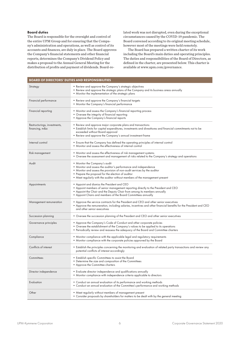## Board duties

The Board is responsible for the oversight and control of the entire UPM Group and for ensuring that the Company's administration and operations, as well as control of its accounts and finances, are duly in place. The Board approves the Company's financial statements and other financial reports, determines the Company's Dividend Policy and makes a proposal to the Annual General Meeting for the distribution of profits and payment of dividends. Board-related work was not disrupted, even during the exceptional circumstances caused by the COVID-19 pandemic. The Board convened according to its original meeting schedule, however most of the meetings were held remotely.

The Board has prepared a written charter of its work including the Board's main duties and operating principles. The duties and responsibilities of the Board of Directors, as defined in the charter, are presented below. This charter is available at www.upm.com/governance.

## BOARD OF DIRECTORS' DUTIES AND RESPONSIBILITIES Strategy • Review and approve the Company's strategic objectives •Review and approve the strategic plans of the Company and its business areas annually •Monitor the implementation of the strategic plans Financial performance • Review and approve the Company's financial targets • Monitor the Company's financial performance Financial reporting • Monitor and assess the Company's financial reporting process • Oversee the integrity of financial reporting •Approve the Company's financial reports Restructurings, investments, financing, m&a •Review and approve major corporate plans and transactions •Establish limits for capital expenditures, investments and divestitures and financial commitments not to be exceeded without Board approval •Review and approve the Company's annual investment frame Internal control • Ensure that the Company has defined the operating principles of internal control •Monitor and assess the effectiveness of internal control Risk management • Monitor and assess the effectiveness of risk management systems •Oversee the assessment and management of risks related to the Company's strategy and operations Audit • Monitor the Company's audit •Monitor and assess the auditor's performance and independence •Monitor and assess the provision of non-audit services by the auditor •Prepare the proposal for the election of auditor •Meet regularly with the auditor without members of the management present Appointments •Appoint and dismiss the President and CEO •Appoint members of senior management reporting directly to the President and CEO •Appoint the Chair and the Deputy Chair from among its members annually •Appoint Chairs and members of the Board Committees annually Management remuneration •Approve the service contracts for the President and CEO and other senior executives •Approve the remuneration, including salaries, incentives and other financial benefits for the President and CEO and other senior executives Succession planning • Oversee the succession planning of the President and CEO and other senior executives Governance principles • Approve the Company's Code of Conduct and other corporate policies •Oversee the establishment of the Company's values to be applied to its operations •Periodically review and reassess the adequacy of the Board and Committee charters Compliance **•** Monitor compliance with the applicable legal and regulatory requirements •Monitor compliance with the corporate policies approved by the Board Conflicts of interest • Establish the principles concerning the monitoring and evaluation of related party transactions and review any potential conflicts of interest accordingly Committees • Establish specific Committees to assist the Board •Determine the size and composition of the Committees • Approve the Committee charters Director independence • Evaluate director independence and qualifications annually •Monitor compliance with independence criteria applicable to directors Evaluation • Conduct an annual evaluation of its performance and working methods •Conduct an annual evaluation of the Committee's performance and working methods Other • Meet regularly without members of management present •Consider proposals by shareholders for matters to be dealt with by the general meeting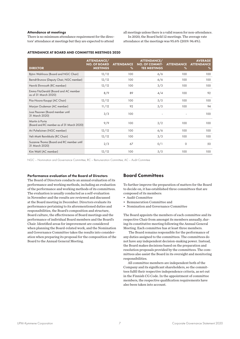## Attendance at meetings

There is no minimum attendance requirement for the directors' attendance at meetings but they are expected to attend all meetings unless there is a valid reason for non-attendance. In 2020, the Board held 12 meetings. The average rate attendance at the meetings was 95.6% (2019: 96.4%).

## ATTENDANCE AT BOARD AND COMMITTEE MEETINGS 2020

| <b>DIRECTOR</b>                                              | ATTENDANCE/<br><b>NO. OF BOARD</b><br><b>MEETINGS</b> | <b>ATTENDANCE</b><br>% | ATTENDANCE/<br><b>NO. OF COMMIT-</b><br><b>TEE MEETINGS</b> | <b>ATTENDANCE</b><br>$\%$ | <b>AVERAGE</b><br><b>ATTENDANCE</b><br>% |
|--------------------------------------------------------------|-------------------------------------------------------|------------------------|-------------------------------------------------------------|---------------------------|------------------------------------------|
| Björn Wahlroos (Board and NGC Chair)                         | 12/12                                                 | 100                    | 6/6                                                         | 100                       | 100                                      |
| Berndt Brunow (Deputy Chair, NGC member)                     | 12/12                                                 | 100                    | 6/6                                                         | 100                       | 100                                      |
| Henrik Ehrnrooth (RC member)                                 | 12/12                                                 | 100                    | 3/3                                                         | 100                       | 100                                      |
| Emma FitzGerald (Board and AC member<br>as of 31 March 2020) | 8/9                                                   | 89                     | 4/4                                                         | 100                       | 92                                       |
| Piia-Noora Kauppi (AC Chair)                                 | 12/12                                                 | 100                    | 5/5                                                         | 100                       | 100                                      |
| Marjan Oudeman (AC member)                                   | 11/12                                                 | 92                     | 5/5                                                         | 100                       | 94                                       |
| Jussi Pesonen (Board member until<br>31 March 2020)          | 3/3                                                   | 100                    |                                                             |                           | 100                                      |
| Martin à Porta<br>(Board and RC member as of 31 March 2020)  | 9/9                                                   | 100                    | 2/2                                                         | 100                       | 100                                      |
| Ari Puheloinen (NGC member)                                  | 12/12                                                 | 100                    | 6/6                                                         | 100                       | 100                                      |
| Veli-Matti Reinikkala (RC Chair)                             | 12/12                                                 | 100                    | 3/3                                                         | 100                       | 100                                      |
| Suzanne Thoma (Board and RC member until<br>31 March 2020)   | 2/3                                                   | 67                     | 0/1                                                         | $\circ$                   | 50                                       |
| Kim Wahl (AC member)                                         | 12/12                                                 | 100                    | 5/5                                                         | 100                       | 100                                      |

NGC – Nomination and Governance Committee, RC – Remuneration Committee, AC – Audit Commitee

## Performance evaluation of the Board of Directors

The Board of Directors conducts an annual evaluation of its performance and working methods, including an evaluation of the performance and working methods of its committees. The evaluation is usually conducted as a self-evaluation in November and the results are reviewed and discussed at the Board meeting in December. Directors evaluate its performance pertaining to its aforementioned duties and responsibilities, the Board's composition and structure, Board culture, the effectiveness of Board meetings and the performance of individual Board members and the Board's Chair. Identified areas for improvement are considered when planning the Board-related work, and the Nomination and Governance Committee takes the results into consideration when preparing its proposal for the composition of the Board to the Annual General Meeting.

## Board Committees

To further improve the preparation of matters for the Board to decide on, it has established three committees that are composed of its members:

- Audit Committee
- Remuneration Committee and
- Nomination and Governance Committee

The Board appoints the members of each committee and its respective Chair from amongst its members annually, during its constitutive meeting following the Annual General Meeting. Each committee has at least three members.

 The Board remains responsible for the performance of any duties assigned to the committees. The committees do not have any independent decision-making power. Instead, the Board makes decisions based on the preparation and resolution proposals provided by the committees. The committees also assist the Board in its oversight and monitoring responsibilities.

All committee members are independent both of the Company and its significant shareholders, so the committees fulfil their respective independence criteria, as set out in the Finnish CG Code. In the appointment of committee members, the respective qualification requirements have also been taken into account.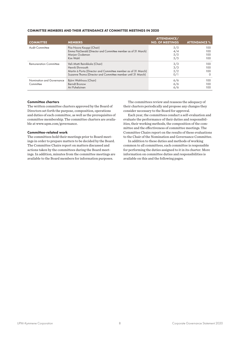| <b>COMMITTEE</b>                       | <b>MEMBERS</b>                                                 | ATTENDANCE/<br><b>NO. OF MEETINGS</b> | <b>ATTENDANCE %</b> |
|----------------------------------------|----------------------------------------------------------------|---------------------------------------|---------------------|
| Audit Committee                        | Piia-Noora Kauppi (Chair)                                      | 5/5                                   | 100                 |
|                                        | Emma FitzGerald (Director and Committee member as of 31 March) | 4/4                                   | 100                 |
|                                        | Marjan Oudeman                                                 | 5/5                                   | 100                 |
|                                        | Kim Wahl                                                       | 5/5                                   | 100                 |
| <b>Remuneration Committee</b>          | Veli-Matti Reinikkala (Chair)                                  | 3/3                                   | 100                 |
|                                        | Henrik Ehrnrooth                                               | 3/3                                   | 100                 |
|                                        | Martin à Porta (Director and Committee member as of 31 March)  | 2/2                                   | 100                 |
|                                        | Suzanne Thoma (Director and Committee member until 31 March)   | 0/1                                   | $\Omega$            |
| Nomination and Governance<br>Committee | Björn Wahlroos (Chair)<br>Berndt Brunow<br>Ari Puheloinen      | 6/6<br>6/6<br>6/6                     | 100<br>100<br>100   |

## COMMITTEE MEMBERS AND THEIR ATTENDANCE AT COMMITTEE MEETINGS IN 2020

## Committee charters

The written committee charters approved by the Board of Directors set forth the purpose, composition, operations and duties of each committee, as well as the prerequisites of committee membership. The committee charters are available at www.upm.com/governance.

## Committee-related work

The committees hold their meetings prior to Board meetings in order to prepare matters to be decided by the Board. The Committee Chairs report on matters discussed and actions taken by the committees during the Board meetings. In addition, minutes from the committee meetings are available to the Board members for information purposes.

The committees review and reassess the adequacy of their charters periodically and propose any changes they consider necessary to the Board for approval.

Each year, the committees conduct a self-evaluation and evaluate the performance of their duties and responsibilities, their working methods, the composition of the committee and the effectiveness of committee meetings. The Committee Chairs report on the results of these evaluations to the Chair of the Nomination and Governance Committee.

In addition to these duties and methods of working common to all committees, each committee is responsible for performing the duties assigned to it in its charter. More information on committee duties and responsibilities is available on this and the following pages.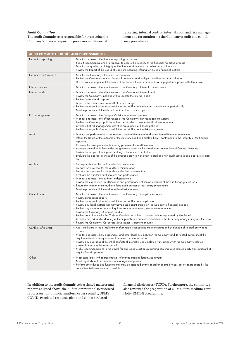## *Audit Committee*

The Audit Committee is responsible for overseeing the Company's financial reporting processes and financial

reporting, internal control, internal audit and risk management and for monitoring the Company's audit and compliance procedures.

| <b>AUDIT COMMITTEE'S DUTIES AND RESPONSIBILITIES</b> |                                                                                                                                                                                                                                                                                                                                                                                                                                                                                                                                                                                                                                                                                                                  |
|------------------------------------------------------|------------------------------------------------------------------------------------------------------------------------------------------------------------------------------------------------------------------------------------------------------------------------------------------------------------------------------------------------------------------------------------------------------------------------------------------------------------------------------------------------------------------------------------------------------------------------------------------------------------------------------------------------------------------------------------------------------------------|
| Financial reporting                                  | • Monitor and assess the financial reporting processes<br>• Submit recommendations or proposals to ensure the integrity of the financial reporting process<br>• Monitor the quality and integrity of the financial statements and other financial reports<br>. Review the Report of the Board of Directors including information on non-financial matters                                                                                                                                                                                                                                                                                                                                                        |
| Financial performance                                | • Monitor the Company's financial performance<br>• Review the Company's annual financial statements and half-year and interim financial reports<br>• Discuss with management the nature of the financial information and earning guidance provided to the market                                                                                                                                                                                                                                                                                                                                                                                                                                                 |
| Internal control                                     | • Monitor and assess the effectiveness of the Company's internal control system                                                                                                                                                                                                                                                                                                                                                                                                                                                                                                                                                                                                                                  |
| Internal audit                                       | • Monitor and assess the effectiveness of the Company's internal audit<br>. Review the Company's policies with respect to the internal audit<br>• Review internal audit reports<br>• Approve the annual internal audit plan and budget<br>• Review the organisation, responsibilities and staffing of the internal audit function periodically<br>• Meet separately with the internal auditor at least twice a year                                                                                                                                                                                                                                                                                              |
| Risk management                                      | • Monitor and assess the Company's risk management process<br>• Monitor and assess the effectiveness of the Company's risk management systems<br>• Review the Company's policies with respect to risk assessment and risk management<br>• Oversee that risk management activities are aligned with these policies<br>• Review the organisation, responsibilities and staffing of the risk management                                                                                                                                                                                                                                                                                                             |
| Audit                                                | • Monitor the performance of the statutory audit of the annual and consolidated financial statements<br>• Inform the Board of the outcome of the statutory audit and explain how it contributed to the integrity of the financial<br>reporting<br>• Oversee the arrangement of tendering processes for audit services<br>• Approve annual audit fees under the guidance given by the shareholders at the Annual General Meeting<br>• Review the scope, planning and staffing of the annual audit plan<br>• Evaluate the appropriateness of the auditor's provision of audit-related and non-audit services and approve related<br>tees                                                                           |
| Auditor                                              | • Be responsible for the auditor selection procedure<br>• Prepare the proposal for the auditor's remuneration<br>• Prepare the proposal for the auditor's election or re-election<br>• Evaluate the auditor's qualifications and performance<br>• Monitor and assess the auditor's independence<br>• Review the experience, qualifications and performance of senior members of the audit engagement team<br>• Ensure the rotation of the auditor's lead audit partner at least every seven years<br>• Meet separately with the auditor at least twice a year                                                                                                                                                    |
| Compliance                                           | • Monitor and assess the effectiveness of the Company's compliance system<br>• Review compliance reports<br>• Review the organisation, responsibilities and staffing of compliance<br>• Review any legal matters that may have a significant impact on the Company's financial position<br>• Review any material reports or inquiries from regulatory or governmental agencies<br>• Review the Company's Code of Conduct<br>. Review compliance with the Code of Conduct and other corporate policies approved by the Board<br>• Oversee procedures for dealing with complaints and concerns submitted to the Company anonymously or otherwise<br>• Review the Company's Corporate Governance Statement annually |
| Conflicts of interest                                | . Assist the Board in the establishment of principles concerning the monitoring and evaluation of related party trans-<br>• Monitor and assess how agreements and other legal acts between the Company and its related parties meet the<br>requirements of ordinary course of business and market terms<br>• Review any questions of potential conflicts of interest in contemplated transactions with the Company's related<br>parties that require Board approval<br>• Make recommendations to the Board for appropriate actions regarding contemplated related party transactions that<br>require Board approval                                                                                              |
| Other                                                | • Meet separately with representatives of management at least twice a year<br>• Meet regularly without members of management present<br>• Perform other duties and functions that may be assigned by the Board or deemed necessary or appropriate by the<br>committee itself to ensure full oversight                                                                                                                                                                                                                                                                                                                                                                                                            |

In addition to the Audit Committee's assigned matters and reports as listed above, the Audit Committee also reviewed reports on non-financial matters, cyber security, UPM's COVID-19 related response plans and climate-related

financial disclosures (TCFD). Furthermore, the committee also reviewed the preparation of UPM's Euro Medium Term Note (EMTN) programme.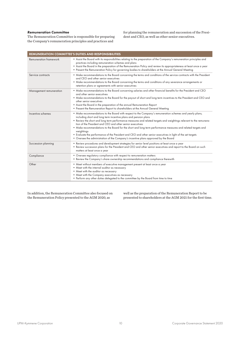## *Remuneration Committee*

The Remuneration Committee is responsible for preparing the Company's remuneration principles and practices and

for planning the remuneration and succession of the President and CEO, as well as other senior executives.

|                               | <b>REMUNERATION COMMITTEE'S DUTIES AND RESPONSIBILITIES</b>                                                                                                                                                                                                                                                                                                                                                                                                                                                                                                                                                                                                                                        |
|-------------------------------|----------------------------------------------------------------------------------------------------------------------------------------------------------------------------------------------------------------------------------------------------------------------------------------------------------------------------------------------------------------------------------------------------------------------------------------------------------------------------------------------------------------------------------------------------------------------------------------------------------------------------------------------------------------------------------------------------|
| <b>Remuneration framework</b> | . Assist the Board with its responsibilities relating to the preparation of the Company's remuneration principles and<br>practices including remuneration schemes and plans<br>. Assist the Board in the preparation of the Remuneration Policy and review its appropriateness at least once a year<br>• Present the Remuneration Policy for governing bodies to shareholders at the Annual General Meeting                                                                                                                                                                                                                                                                                        |
| Service contracts             | • Make recommendations to the Board concerning the terms and conditions of the service contracts with the President<br>and CEO and other senior executives<br>• Make recommendations to the Board concerning the terms and conditions of any severance arrangements or<br>retention plans or agreements with senior executives                                                                                                                                                                                                                                                                                                                                                                     |
| Management remuneration       | . Make recommendations to the Board concerning salaries and other financial benefits for the President and CEO<br>and other senior executives<br>• Make recommendations to the Board for the payout of short and long term incentives to the President and CEO and<br>other senior executives<br>• Assist the Board in the preparation of the annual Remuneration Report<br>• Present the Remuneration Report to shareholders at the Annual General Meeting                                                                                                                                                                                                                                        |
| Incentive schemes             | • Make recommendations to the Board with respect to the Company's remuneration schemes and yearly plans,<br>including short and long term incentive plans and pension plans<br>• Review the short and long term performance measures and related targets and weightings relevant to the remunera-<br>tion of the President and CEO and other senior executives<br>• Make recommendations to the Board for the short and long term performance measures and related targets and<br>weightings<br>• Evaluate the performance of the President and CEO and other senior executives in light of the set targets<br>• Oversee the administration of the Company's incentive plans approved by the Board |
| Succession planning           | • Review procedures and development strategies for senior level positions at least once a year<br>. Review succession plans for the President and CEO and other senior executives and report to the Board on such<br>matters at least once a year                                                                                                                                                                                                                                                                                                                                                                                                                                                  |
| Compliance                    | • Oversee regulatory compliance with respect to remuneration matters<br>. Review the Company's share ownership recommendations and compliance therewith                                                                                                                                                                                                                                                                                                                                                                                                                                                                                                                                            |
| Other                         | • Meet without members of executive management present at least once a year<br>• Meet with the internal auditor as necessary<br>• Meet with the auditor as necessary<br>• Meet with the Company executives as necessary<br>. Perform any other duties delegated to the committee by the Board from time to time                                                                                                                                                                                                                                                                                                                                                                                    |

In addition, the Remuneration Committee also focused on the Remuneration Policy presented to the AGM 2020, as

well as the preparation of the Remuneration Report to be presented to shareholders at the AGM 2021 for the first time.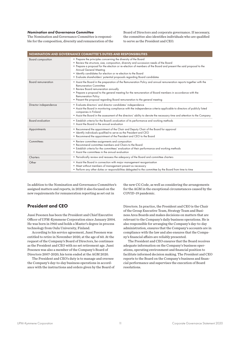## *Nomination and Governance Committee*

The Nomination and Governance Committee is responsible for the composition, diversity and remuneration of the Board of Directors and corporate governance. If necessary, the committee also identifies individuals who are qualified to serve as the President and CEO.

|                           | <b>NOMINATION AND GOVERNANCE COMMITTEE'S DUTIES AND RESPONSIBILITIES</b>                                                                                                                                                                                                                                                                                                                                                                                    |
|---------------------------|-------------------------------------------------------------------------------------------------------------------------------------------------------------------------------------------------------------------------------------------------------------------------------------------------------------------------------------------------------------------------------------------------------------------------------------------------------------|
| <b>Board composition</b>  | • Prepare the principles concerning the diversity of the Board<br>. Review the structure, size, composition, diversity and succession needs of the Board<br>• Prepare a proposal for the election or re-election of members of the Board and present the said proposal to the<br><b>Annual General Meeting</b><br>· Identify candidates for election or re-election to the Board<br>• Evaluate shareholders' potential proposals regarding Board candidates |
| <b>Board remuneration</b> | • Assist the Board in the preparation of the Remuneration Policy and annual remuneration reports together with the<br><b>Remuneration Committee</b><br>• Review Board remuneration annually<br>• Prepare a proposal to the general meeting for the remuneration of Board members in accordance with the<br><b>Remuneration Policy</b><br>• Present the proposal regarding Board remuneration to the general meeting                                         |
| Director independence     | · Evaluate directors' and director candidates' independence<br>• Assist the Board in monitoring compliance with the independence criteria applicable to directors of publicly listed<br>companies in Finland<br>• Assist the Board in the assessment of the directors' ability to devote the necessary time and attention to the Company                                                                                                                    |
| <b>Board evaluation</b>   | • Establish criteria for the Board's evaluation of its performance and working methods<br>• Assist the Board in the annual evaluation                                                                                                                                                                                                                                                                                                                       |
| Appointments              | • Recommend the appointment of the Chair and Deputy Chair of the Board for approval<br>. Identify individuals qualified to serve as the President and CEO<br>• Recommend the appointment of the President and CEO to the Board                                                                                                                                                                                                                              |
| Committees                | • Review committee assignments and composition<br>• Recommend committee members and Chairs to the Board<br>• Establish criteria for the committees' evaluation of their performance and working methods<br>• Assist the committees in the annual evaluation                                                                                                                                                                                                 |
| Charters                  | • Periodically review and reassess the adequacy of the Board and committee charters                                                                                                                                                                                                                                                                                                                                                                         |
| Other                     | • Assist the Board in connection with major management reorganisation<br>• Meet without members of management present as necessary<br>• Perform any other duties or responsibilities delegated to the committee by the Board from time to time                                                                                                                                                                                                              |

In addition to the Nomination and Governance Committee's assigned matters and reports, in 2020 it also focused on the new requirements for remuneration reporting as set out in

## President and CEO

Jussi Pesonen has been the President and Chief Executive Officer of UPM-Kymmene Corporation since January 2004. He was born in 1960 and holds a Master's degree in process technology from Oulu University, Finland.

According to his service agreement, Jussi Pesonen was entitled to retire in November 2020, at the age of 60. At the request of the Company's Board of Directors, he continues as the President and CEO with no set retirement age. Jussi Pesonen was also a member of the Company's Board of Directors 2007-2020, his term ended at the AGM 2020.

The President and CEO's duty is to manage and oversee the Company's day-to-day business operations in accordance with the instructions and orders given by the Board of the new CG Code, as well as considering the arrangements for the AGM in the exceptional circumstances caused by the COVID-19 pandemic.

Directors. In practice, the President and CEO is the Chair of the Group Executive Team, Strategy Team and Business Area Boards and makes decisions on matters that are relevant to the Company's daily business operations. He is also responsible for arranging the Company's day-to-day administration, ensures that the Company's accounts are in compliance with the law and also ensures that the Company's financial affairs are reliably presented.

The President and CEO ensures that the Board receives adequate information on the Company's business operations, operating environment and financial position to facilitate informed decision making. The President and CEO reports to the Board on the Company's business and financial performance and supervises the execution of Board resolutions.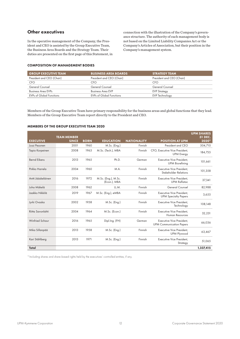## Other executives

In the operative management of the Company, the President and CEO is assisted by the Group Executive Team, the Business Area Boards and the Strategy Team. Their duties are presented on the first page of this Statement, in connection with the illustration of the Company's governance structure. The authority of each management body is not based on the Limited Liability Companies Act or the Company's Articles of Association, but their position in the Company's management system.

## COMPOSITION OF MANAGEMENT BODIES

| <b>GROUP EXECUTIVE TEAM</b>     | <b>BUSINESS AREA BOARDS</b>     | <b>STRATEGY TEAM</b>      |
|---------------------------------|---------------------------------|---------------------------|
| President and CEO (Chair)       | President and CEO (Chair)       | President and CEO (Chair) |
| <b>CFO</b>                      | CFO                             | CFO                       |
| General Counsel                 | General Counsel                 | General Counsel           |
| <b>Business Area EVPs</b>       | <b>Business Area EVP</b>        | <b>EVP Strategy</b>       |
| <b>EVPs of Global Functions</b> | <b>EVPs of Global Functions</b> | EVP Technology            |

Members of the Group Executive Team have primary responsibility for the business areas and global functions that they lead. Members of the Group Executive Team report directly to the President and CEO.

## MEMBERS OF THE GROUP EXECUTIVE TEAM 2020

|                     | <b>TEAM MEMBER</b> |             |                                     |                    |                                                              | <b>UPM SHARES</b><br>31 DEC. |
|---------------------|--------------------|-------------|-------------------------------------|--------------------|--------------------------------------------------------------|------------------------------|
| <b>EXECUTIVE</b>    | <b>SINCE</b>       | <b>BORN</b> | <b>EDUCATION</b>                    | <b>NATIONALITY</b> | <b>POSITION AT UPM</b>                                       | 20201)                       |
| Jussi Pesonen       | 2001               | 1960        | M.Sc. (Eng.)                        | Finnish            | President and CEO                                            | 504,710                      |
| Tapio Korpeinen     | 2008               | 1963        | M.Sc. (Tech.), MBA                  | Finnish            | CFO, Executive Vice President,<br><b>UPM Energy</b>          | 184,755                      |
| <b>Bernd Eikens</b> | 2013               | 1965        | Ph.D.                               | German             | Executive Vice President.<br><b>UPM Biorefining</b>          | 101,661                      |
| Pirkko Harrela      | 2004               | 1960        | M.A.                                | Finnish            | <b>Executive Vice President,</b><br>Stakeholder Relations    | 101,358                      |
| Antti Jääskeläinen  | 2016               | 1972        | M.Sc. (Eng.), M.Sc.<br>(Econ.), MBA | Finnish            | <b>Executive Vice President,</b><br><b>UPM Raflatac</b>      | 37,341                       |
| Juha Mäkelä         | 2008               | 1962        | LL.M.                               | Finnish            | <b>General Counsel</b>                                       | 82,988                       |
| Jaakko Nikkilä      | 2019               | 1967        | M.Sc. (Eng.), eMBA                  | Finnish            | Executive Vice President.<br><b>UPM Specialty Papers</b>     | 3,655                        |
| Jyrki Ovaska        | 2002               | 1958        | M.Sc. (Eng.)                        | Finnish            | Executive Vice President.<br>Technology                      | 108,148                      |
| Riitta Savonlahti   | 2004               | 1964        | M.Sc. (Econ.)                       | Finnish            | Executive Vice President.<br>Human Resources                 | 32,231                       |
| Winfried Schaur     | 2016               | 1965        | Dipl.Ing. (FH)                      | German             | Executive Vice President,<br><b>UPM Communication Papers</b> | 66,036                       |
| Mika Sillanpää      | 2013               | 1958        | M.Sc. (Eng.)                        | Finnish            | <b>Executive Vice President,</b><br><b>UPM Plywood</b>       | 63,467                       |
| Kari Ståhlberg      | 2013               | 1971        | M.Sc. (Eng.)                        | Finnish            | <b>Executive Vice President,</b><br>Strategy                 | 51,065                       |
| Total               |                    |             |                                     |                    |                                                              | 1,337,415                    |
|                     |                    |             |                                     |                    |                                                              |                              |

1) Including shares and share-based rights held by the executives' controlled entities, if any.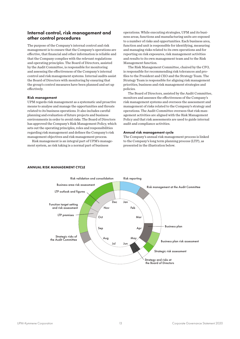## Internal control, risk management and other control procedures

The purpose of the Company's internal control and risk management is to ensure that the Company's operations are effective, that financial and other information is reliable and that the Company complies with the relevant regulations and operating principles. The Board of Directors, assisted by the Audit Committee, is responsible for monitoring and assessing the effectiveness of the Company's internal control and risk management systems. Internal audits assist the Board of Directors with monitoring by ensuring that the group's control measures have been planned and set up effectively.

## Risk management

UPM regards risk management as a systematic and proactive means to analyse and manage the opportunities and threats related to its business operations. It also includes careful planning and evaluation of future projects and business environments in order to avoid risks. The Board of Directors has approved the Company's Risk Management Policy, which sets out the operating principles, roles and responsibilities regarding risk management and defines the Company's risk management objectives and risk management process.

Risk management is an integral part of UPM's management system, as risk taking is a normal part of business

operations. While executing strategies, UPM and its business areas, functions and manufacturing units are exposed to a number of risks and opportunities. Each business area, function and unit is responsible for identifying, measuring and managing risks related to its own operations and for reporting on risk exposures, risk management activities and results to its own management team and to the Risk Management function.

The Risk Management Committee, chaired by the CFO, is responsible for recommending risk tolerances and profiles to the President and CEO and the Strategy Team. The Strategy Team is responsible for aligning risk management priorities, business and risk management strategies and policies.

The Board of Directors, assisted by the Audit Committee, monitors and assesses the effectiveness of the Company's risk management systems and oversees the assessment and management of risks related to the Company's strategy and operations. The Audit Committee oversees that risk management activities are aligned with the Risk Management Policy and that risk assessments are used to guide internal audit and compliance activities.

## Annual risk management cycle

The Company's annual risk management process is linked to the Company's long term planning process (LTP), as presented in the illustration below.



## ANNUAL RISK MANAGEMENT CYCLE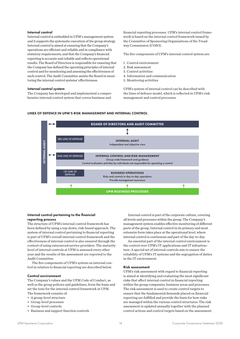## Internal control

Internal control is embedded in UPM's management system and it supports the systematic execution of the group strategy. Internal control is aimed at ensuring that the Company's operations are efficient and reliable and in compliance with statutory requirements, and that the Company's financial reporting is accurate and reliable and reflects operational results. The Board of Directors is responsible for ensuring that the Company has defined the operating principles of internal control and for monitoring and assessing the effectiveness of such control. The Audit Committee assists the Board in monitoring the internal control systems' effectiveness.

## *Internal control system*

The Company has developed and implemented a comprehensive internal control system that covers business and

financial reporting processes. UPM's internal control framework is based on the internal control framework issued by the Committee of Sponsoring Organisations of the Treadway Commission (COSO).

The five components of UPM's internal control system are:

- 1. Control environment
- 2. Risk assessment
- 3. Control activities
- 4. Information and communication
- 5. Monitoring activities

UPM's system of internal control can be described with the lines of defence model, which is reflected in UPM's risk management and control processes.



## LINES OF DEFENCE IN UPM'S RISK MANAGEMENT AND INTERNAL CONTROL

## Internal control pertaining to the financial reporting process

The structure of UPM's internal control framework has been defined by using a top-down, risk-based approach. The system of internal control pertaining to financial reporting is part of UPM's overall internal control framework and the effectiveness of internal control is also ensured through the context of using outsourced service providers. The maturity level of internal controls at UPM is assessed every other year and the results of the assessment are reported to the Audit Committee.

The five components of UPM's system on internal control in relation to financial reporting are described below.

## Control environment

The Company's values and the UPM Code of Conduct, as well as the group policies and guidelines, form the basis and set the tone for the internal control framework at UPM. The framework consists of:

- A group-level structure
- Group-level processes
- Group-level controls
- 
- Business and support function controls

Internal control is part of the corporate culture, covering all levels and processes within the group. The Company's management system enables effective monitoring of different parts of the group. Internal control in its primary and most extensive form takes place at the operational level, where internal control is continuous and part of the day-to-day.

An essential part of the internal control environment is the control over UPM's IT applications and IT infrastructure. A special set of internal controls aim to ensure the reliability of UPM's IT systems and the segregation of duties in the IT environment.

## Risk assessment

UPM's risk assessment with regard to financial reporting is aimed at identifying and evaluating the most significant risks that affect internal control in financial reporting within the group companies, business areas and processes. The risk assessment is used to create control targets to ensure that the fundamental demands placed on financial reporting are fulfilled and provide the basis for how risks are managed within the various control structures. The risk assessment is updated annually together with the planned control actions and control targets based on the assessment.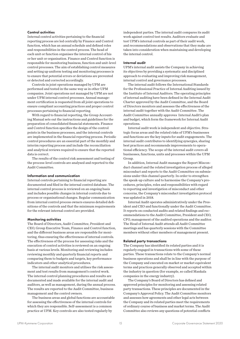## Control activities

Internal control activities pertaining to the financial reporting process are led centrally by Finance and Control function, which has an annual schedule and defined roles and responsibilities in the control process. The head of each unit or function organises the internal control of his or her unit or organisation. Finance and Control function is responsible for monitoring business, function and unit-level control processes. The aim of establishing control measures and setting up uniform testing and monitoring processes is to ensure that potential errors or deviations are prevented or detected and corrected accordingly.

Controls in joint operations managed by UPM are performed and tested in the same way as in other UPM companies. Joint operations not managed by UPM are not under UPM internal control processes. Annual management certification is requested from all joint operations to ensure compliant accounting practices and proper control processes pertaining to financial reporting.

With regard to financial reporting, the Group Accounting Manual sets out the instructions and guidelines for the preparation of consolidated financial statements. Finance and Control function specifies the design of the control points in the business processes, and the internal controls are implemented in the financial reporting process. Periodic control procedures are an essential part of the monthly and interim reporting process and include the reconciliation and analytical reviews required to ensure that the reported data is correct.

The results of the control risk assessment and testing of the process-level controls are analysed and reported to the Audit Committee.

#### Information and communication

Internal controls pertaining to financial reporting are documented and filed in the internal control database. The internal control process is reviewed on an ongoing basis and includes possible changes in internal controls due to process or organisational changes. Regular communication from internal control process owners ensures detailed definitions of the controls and that the minimum requirements for the relevant internal control are provided.

## Monitoring activities

The Board of Directors, Audit Committee, President and CEO, Group Executive Team, Finance and Control function, and the different business areas are responsible for monitoring, thus ensuring the effectiveness of internal controls. The effectiveness of the process for assessing risks and the execution of control activities is reviewed on an ongoing basis at various levels. Monitoring and reviewing includes reviewing monthly and quarterly financial reports and comparing them to budgets and targets, key performance indicators and other analytical procedures.

The internal audit monitors and utilises the risk assessment and test results from management's control work. The internal control planning procedures and results are documented and made available for the internal audit and auditors, as well as management, during the annual process. The results are reported to the Audit Committee, business management and the control owners.

The business areas and global functions are accountable for assessing the effectiveness of the internal controls for which they are responsible. Self-assessment is a common practice at UPM. Key controls are also tested regularly by

independent parties. The internal audit compares its audit work against control test results. Auditors evaluate and test UPM's internal controls as part of their audit work, and recommendations and observations that they make are taken into consideration when maintaining and developing the internal control.

## Internal audit

UPM's internal audit assists the Company in achieving its objectives by providing a systematic and disciplined approach to evaluating and improving risk management, internal control and governance processes.

The internal audit follows the International Standards for the Professional Practice of Internal Auditing issued by the Institute of Internal Auditors. The operating principles of internal auditing have been defined in the Internal Audit Charter approved by the Audit Committee, and the Board of Directors monitors and assesses the effectiveness of the internal audit together with the Audit Committee. The Audit Committee annually approves Internal Audit's plan and budget, which form the framework for Internal Audit operations.

Internal audit work is independent and objective. Strategic focus areas and the related risks of UPM's businesses and functions are the key inputs for audit engagements. The internal audit contributes to identifying synergies, sharing best practices and recommends improvements to operational efficiency. The scope of the internal audit covers all businesses, functions, units and processes within the UPM Group.

In addition, Internal Audit manages the Report Misconduct channel and the related investigation process of alleged misconduct and reports to the Audit Committee on submissions under this channel quarterly. In order to strengthen the speak-up culture and to harmonise the Company's procedures, principles, roles and responsibilities with regard to reporting and investigation of misconduct and other concerns, the Company's misconduct investigation protocol was updated in 2018.

Internal Audit operates administratively under the President and CEO and functionally under the Audit Committee. It reports on conducted audits and related findings and recommendations to the Audit Committee, President and CEO, CFO, management of the audited operations and the auditor. The Head of Internal Audit attends all Audit Committee meetings and has quarterly sessions with the Committee members without other members of management present.

## Related party transactions

The Company has identified its related parties and it is regularly engaged in transactions with some of these parties. These transactions relate to the Company's normal business operations and shall be in line with the purpose of the Company and executed on market or market equivalent terms and practices generally observed and accepted within the industry in question (for example, so called Mankala companies in the energy industry).

The Company's Board of Directors has defined and approved principles for monitoring and assessing related party transactions. These principles are documented in the Company's Approval Policy. The Audit Committee monitors and assesses how agreements and other legal acts between the Company and its related parties meet the requirements of ordinary course of business and market terms. The Audit Committee also reviews any questions of potential conflicts